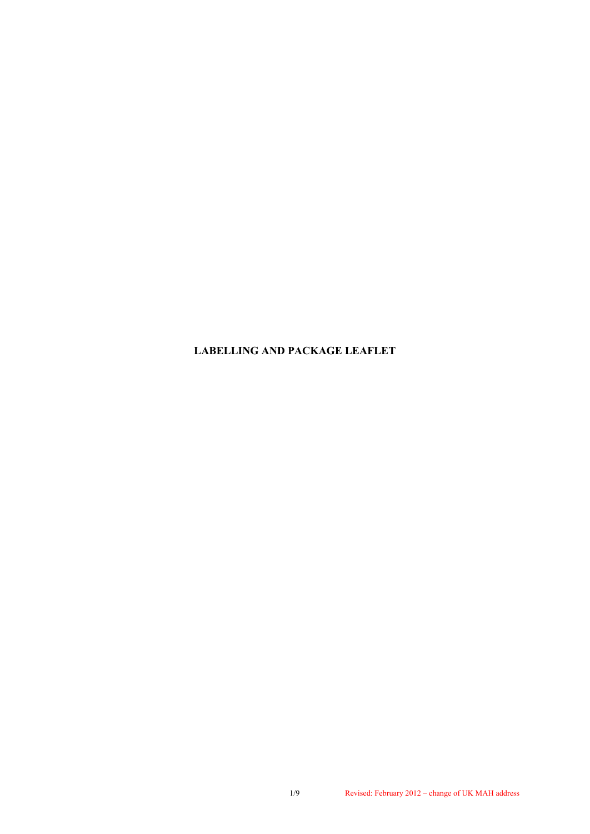**LABELLING AND PACKAGE LEAFLET**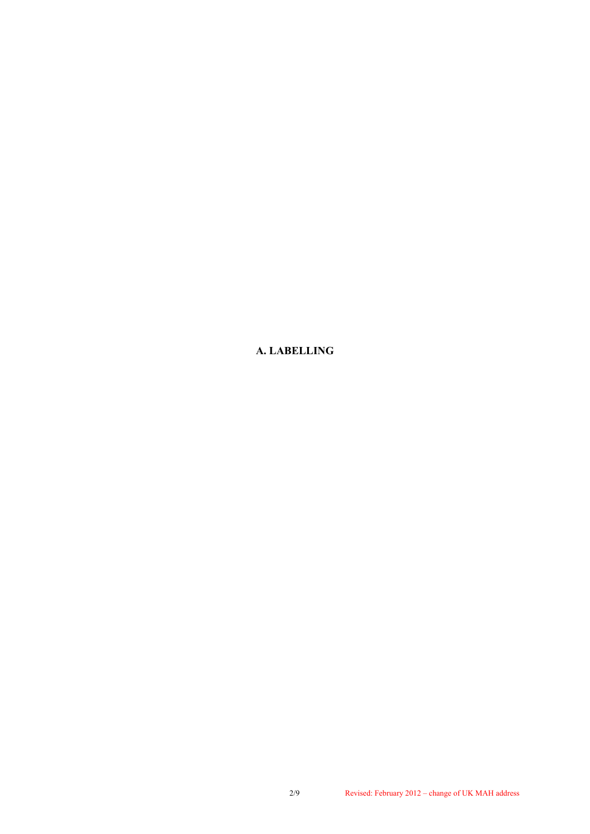**A. LABELLING**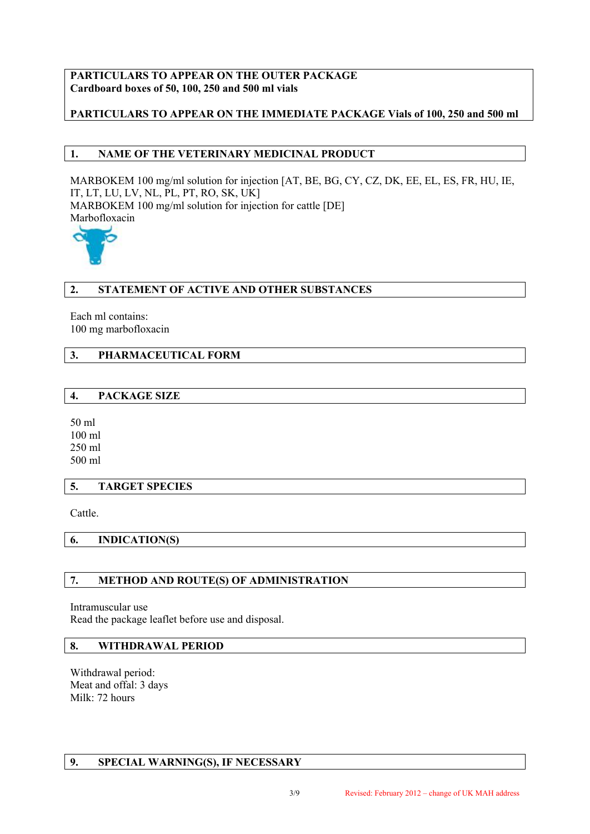## **PARTICULARS TO APPEAR ON THE OUTER PACKAGE Cardboard boxes of 50, 100, 250 and 500 ml vials**

# **PARTICULARS TO APPEAR ON THE IMMEDIATE PACKAGE Vials of 100, 250 and 500 ml**

# **1. NAME OF THE VETERINARY MEDICINAL PRODUCT**

MARBOKEM 100 mg/ml solution for injection [AT, BE, BG, CY, CZ, DK, EE, EL, ES, FR, HU, IE, IT, LT, LU, LV, NL, PL, PT, RO, SK, UK] MARBOKEM 100 mg/ml solution for injection for cattle [DE] Marbofloxacin



## **2. STATEMENT OF ACTIVE AND OTHER SUBSTANCES**

Each ml contains: 100 mg marbofloxacin

# **3. PHARMACEUTICAL FORM**

## **4. PACKAGE SIZE**

50 ml 100 ml 250 ml 500 ml

#### **5. TARGET SPECIES**

Cattle.

**6. INDICATION(S)**

## **7. METHOD AND ROUTE(S) OF ADMINISTRATION**

Intramuscular use Read the package leaflet before use and disposal.

# **8. WITHDRAWAL PERIOD**

Withdrawal period: Meat and offal: 3 days Milk: 72 hours

## **9. SPECIAL WARNING(S), IF NECESSARY**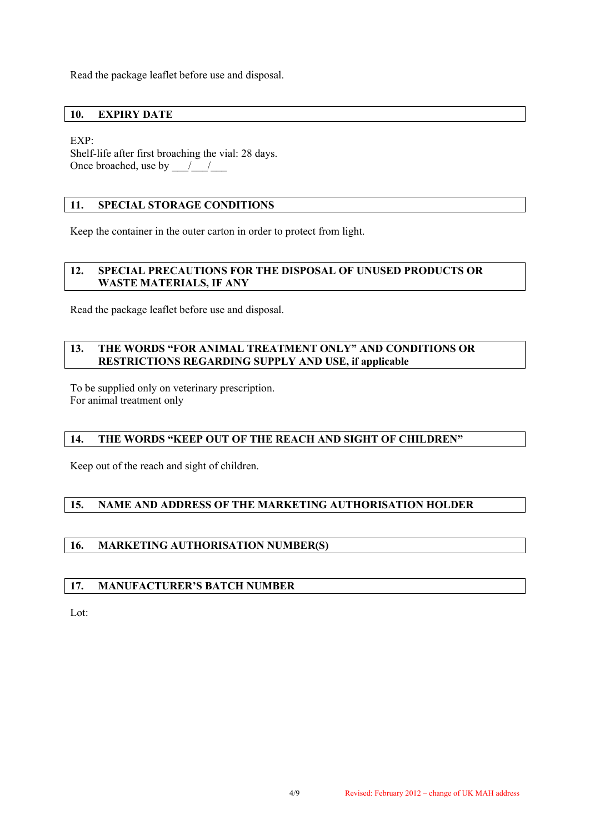Read the package leaflet before use and disposal.

### **10. EXPIRY DATE**

EXP:

Shelf-life after first broaching the vial: 28 days. Once broached, use by  $\frac{1}{2}$ 

### **11. SPECIAL STORAGE CONDITIONS**

Keep the container in the outer carton in order to protect from light.

#### **12. SPECIAL PRECAUTIONS FOR THE DISPOSAL OF UNUSED PRODUCTS OR WASTE MATERIALS, IF ANY**

Read the package leaflet before use and disposal.

#### **13. THE WORDS "FOR ANIMAL TREATMENT ONLY" AND CONDITIONS OR RESTRICTIONS REGARDING SUPPLY AND USE, if applicable**

To be supplied only on veterinary prescription. For animal treatment only

## **14. THE WORDS "KEEP OUT OF THE REACH AND SIGHT OF CHILDREN"**

Keep out of the reach and sight of children.

## **15. NAME AND ADDRESS OF THE MARKETING AUTHORISATION HOLDER**

## **16. MARKETING AUTHORISATION NUMBER(S)**

#### **17. MANUFACTURER'S BATCH NUMBER**

Lot: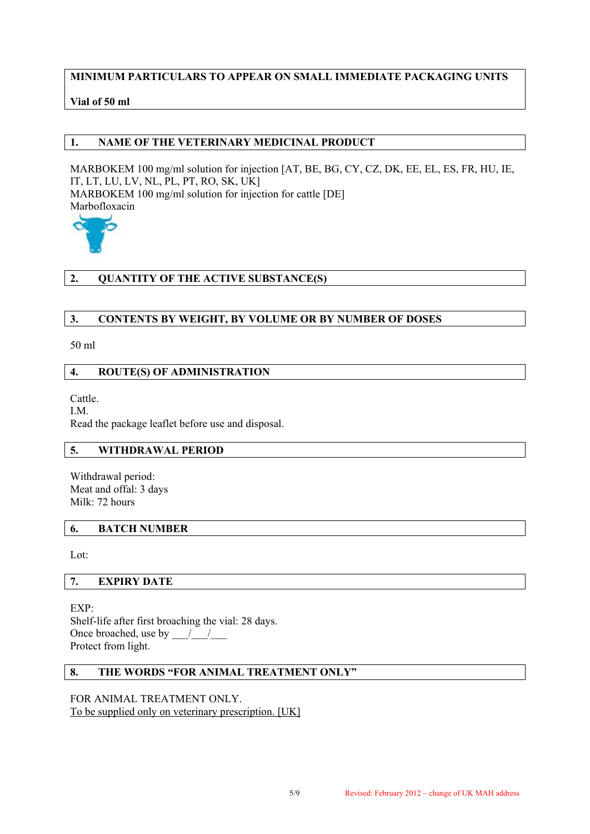## **MINIMUM PARTICULARS TO APPEAR ON SMALL IMMEDIATE PACKAGING UNITS**

## **Vial of 50 ml**

#### **1. NAME OF THE VETERINARY MEDICINAL PRODUCT**

MARBOKEM 100 mg/ml solution for injection [AT, BE, BG, CY, CZ, DK, EE, EL, ES, FR, HU, IE, IT, LT, LU, LV, NL, PL, PT, RO, SK, UK] MARBOKEM 100 mg/ml solution for injection for cattle [DE] Marbofloxacin



# **2. QUANTITY OF THE ACTIVE SUBSTANCE(S)**

#### **3. CONTENTS BY WEIGHT, BY VOLUME OR BY NUMBER OF DOSES**

50 ml

#### **4. ROUTE(S) OF ADMINISTRATION**

Cattle.

I.M.

Read the package leaflet before use and disposal.

# **5. WITHDRAWAL PERIOD**

Withdrawal period: Meat and offal: 3 days Milk: 72 hours

#### **6. BATCH NUMBER**

Lot:

#### **7. EXPIRY DATE**

EXP: Shelf-life after first broaching the vial: 28 days. Once broached, use by  $\qquad /$ Protect from light.

## **8. THE WORDS "FOR ANIMAL TREATMENT ONLY"**

### FOR ANIMAL TREATMENT ONLY. To be supplied only on veterinary prescription. [UK]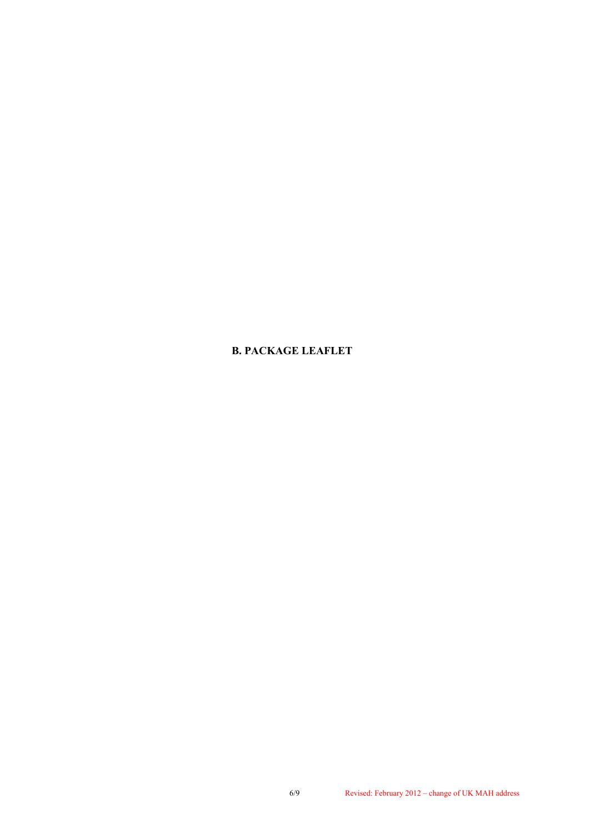## **B. PACKAGE LEAFLET**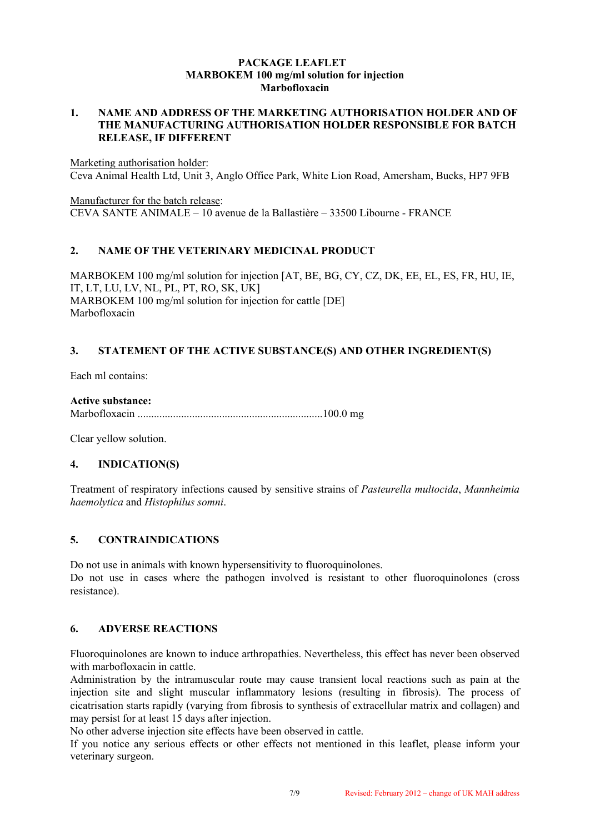#### **PACKAGE LEAFLET MARBOKEM 100 mg/ml solution for injection Marbofloxacin**

#### **1. NAME AND ADDRESS OF THE MARKETING AUTHORISATION HOLDER AND OF THE MANUFACTURING AUTHORISATION HOLDER RESPONSIBLE FOR BATCH RELEASE, IF DIFFERENT**

Marketing authorisation holder: Ceva Animal Health Ltd, Unit 3, Anglo Office Park, White Lion Road, Amersham, Bucks, HP7 9FB

Manufacturer for the batch release: CEVA SANTE ANIMALE – 10 avenue de la Ballastière – 33500 Libourne - FRANCE

## **2. NAME OF THE VETERINARY MEDICINAL PRODUCT**

MARBOKEM 100 mg/ml solution for injection [AT, BE, BG, CY, CZ, DK, EE, EL, ES, FR, HU, IE, IT, LT, LU, LV, NL, PL, PT, RO, SK, UK] MARBOKEM 100 mg/ml solution for injection for cattle [DE] Marbofloxacin

# **3. STATEMENT OF THE ACTIVE SUBSTANCE(S) AND OTHER INGREDIENT(S)**

Each ml contains:

#### **Active substance:**

Marbofloxacin ....................................................................100.0 mg

Clear yellow solution.

## **4. INDICATION(S)**

Treatment of respiratory infections caused by sensitive strains of *Pasteurella multocida*, *Mannheimia haemolytica* and *Histophilus somni*.

## **5. CONTRAINDICATIONS**

Do not use in animals with known hypersensitivity to fluoroquinolones. Do not use in cases where the pathogen involved is resistant to other fluoroquinolones (cross resistance).

#### **6. ADVERSE REACTIONS**

Fluoroquinolones are known to induce arthropathies. Nevertheless, this effect has never been observed with marbofloxacin in cattle.

Administration by the intramuscular route may cause transient local reactions such as pain at the injection site and slight muscular inflammatory lesions (resulting in fibrosis). The process of cicatrisation starts rapidly (varying from fibrosis to synthesis of extracellular matrix and collagen) and may persist for at least 15 days after injection.

No other adverse injection site effects have been observed in cattle.

If you notice any serious effects or other effects not mentioned in this leaflet, please inform your veterinary surgeon.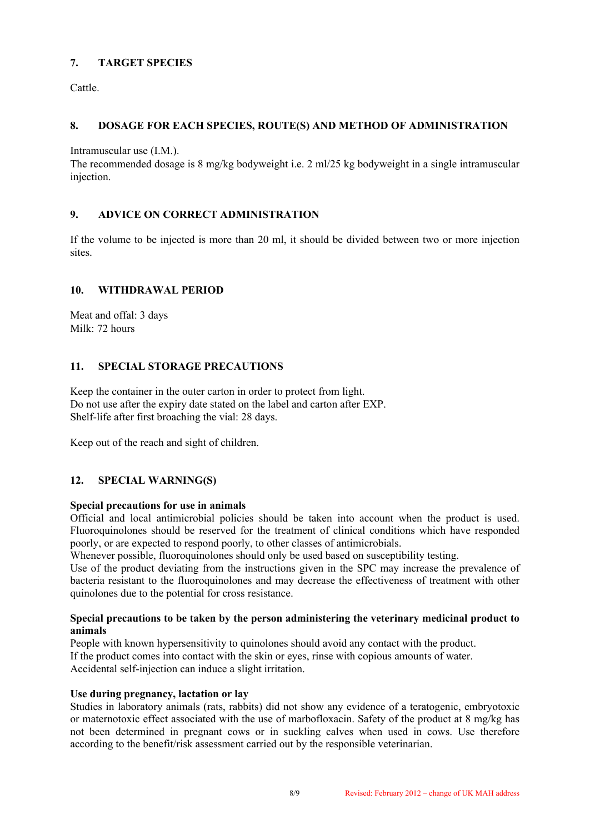# **7. TARGET SPECIES**

Cattle.

# **8. DOSAGE FOR EACH SPECIES, ROUTE(S) AND METHOD OF ADMINISTRATION**

Intramuscular use (I.M.).

The recommended dosage is 8 mg/kg bodyweight i.e. 2 ml/25 kg bodyweight in a single intramuscular injection.

## **9. ADVICE ON CORRECT ADMINISTRATION**

If the volume to be injected is more than 20 ml, it should be divided between two or more injection sites.

## **10. WITHDRAWAL PERIOD**

Meat and offal: 3 days Milk: 72 hours

# **11. SPECIAL STORAGE PRECAUTIONS**

Keep the container in the outer carton in order to protect from light. Do not use after the expiry date stated on the label and carton after EXP. Shelf-life after first broaching the vial: 28 days.

Keep out of the reach and sight of children.

## **12. SPECIAL WARNING(S)**

## **Special precautions for use in animals**

Official and local antimicrobial policies should be taken into account when the product is used. Fluoroquinolones should be reserved for the treatment of clinical conditions which have responded poorly, or are expected to respond poorly, to other classes of antimicrobials.

Whenever possible, fluoroquinolones should only be used based on susceptibility testing.

Use of the product deviating from the instructions given in the SPC may increase the prevalence of bacteria resistant to the fluoroquinolones and may decrease the effectiveness of treatment with other quinolones due to the potential for cross resistance.

#### **Special precautions to be taken by the person administering the veterinary medicinal product to animals**

People with known hypersensitivity to quinolones should avoid any contact with the product. If the product comes into contact with the skin or eyes, rinse with copious amounts of water. Accidental self-injection can induce a slight irritation.

## **Use during pregnancy, lactation or lay**

Studies in laboratory animals (rats, rabbits) did not show any evidence of a teratogenic, embryotoxic or maternotoxic effect associated with the use of marbofloxacin. Safety of the product at 8 mg/kg has not been determined in pregnant cows or in suckling calves when used in cows. Use therefore according to the benefit/risk assessment carried out by the responsible veterinarian.